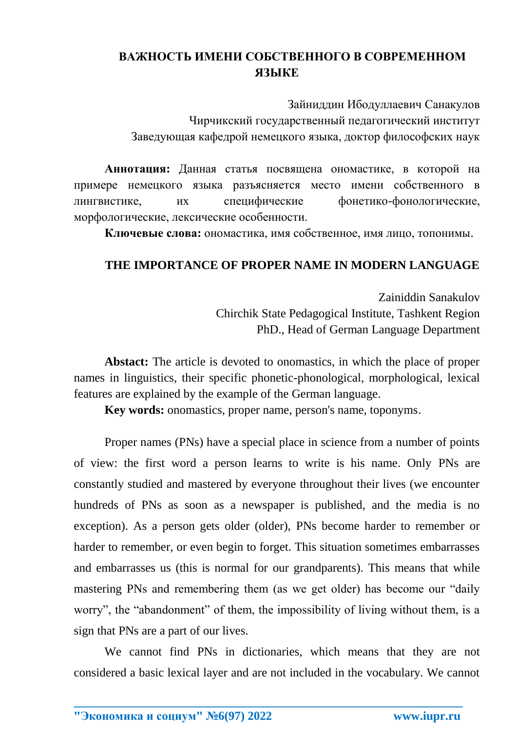## **ВАЖНОСТЬ ИМЕНИ СОБСТВЕННОГО В СОВРЕМЕННОМ ЯЗЫКЕ**

Зайниддин Ибодуллаевич Санакулов Чирчикский государственный педагогический институт Заведующая кафедрой немецкого языка, доктор философских наук

**Аннотация:** Данная статья посвящена ономастике, в которой на примере немецкого языка разъясняется место имени собственного в лингвистике, их специфические фонетико-фонологические, морфологические, лексические особенности.

**Ключевые слова:** ономастика, имя собственное, имя лицо, топонимы.

## **THE IMPORTANCE OF PROPER NAME IN MODERN LANGUAGE**

Zainiddin Sanakulov Chirchik State Pedagogical Institute, Tashkent Region PhD., Head of German Language Department

**Abstact:** The article is devoted to onomastics, in which the place of proper names in linguistics, their specific phonetic-phonological, morphological, lexical features are explained by the example of the German language.

**Key words:** onomastics, proper name, person's name, toponyms.

Proper names (PNs) have a special place in science from a number of points of view: the first word a person learns to write is his name. Only PNs are constantly studied and mastered by everyone throughout their lives (we encounter hundreds of PNs as soon as a newspaper is published, and the media is no exception). As a person gets older (older), PNs become harder to remember or harder to remember, or even begin to forget. This situation sometimes embarrasses and embarrasses us (this is normal for our grandparents). This means that while mastering PNs and remembering them (as we get older) has become our "daily worry", the "abandonment" of them, the impossibility of living without them, is a sign that PNs are a part of our lives.

We cannot find PNs in dictionaries, which means that they are not considered a basic lexical layer and are not included in the vocabulary. We cannot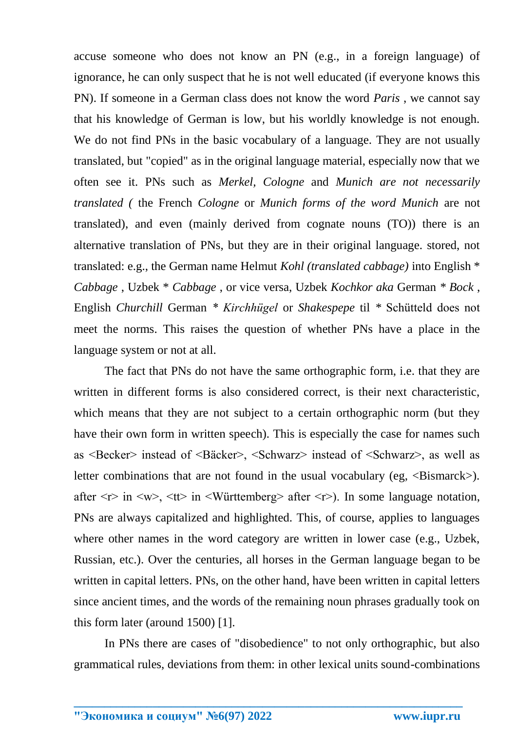accuse someone who does not know an PN (e.g., in a foreign language) of ignorance, he can only suspect that he is not well educated (if everyone knows this PN). If someone in a German class does not know the word *Paris* , we cannot say that his knowledge of German is low, but his worldly knowledge is not enough. We do not find PNs in the basic vocabulary of a language. They are not usually translated, but "copied" as in the original language material, especially now that we often see it. PNs such as *Merkel, Cologne* and *Munich are not necessarily translated (* the French *Cologne* or *Munich forms of the word Munich* are not translated), and even (mainly derived from cognate nouns (TO)) there is an alternative translation of PNs, but they are in their original language. stored, not translated: e.g., the German name Helmut *Kohl (translated cabbage)* into English \* *Cabbage* , Uzbek \* *Cabbage* , or vice versa, Uzbek *Kochkor aka* German *\* Bock* , English *Churchill* German *\* Kirchhügel* or *Shakespepe* til *\** Schütteld does not meet the norms. This raises the question of whether PNs have a place in the language system or not at all.

The fact that PNs do not have the same orthographic form, i.e. that they are written in different forms is also considered correct, is their next characteristic, which means that they are not subject to a certain orthographic norm (but they have their own form in written speech). This is especially the case for names such as <Becker> instead of <Bäcker>, <Schwarz> instead of <Schwarz>, as well as letter combinations that are not found in the usual vocabulary (eg,  $\langle B \text{is} \rangle$ ). after  $\langle r \rangle$  in  $\langle w \rangle$ ,  $\langle tr \rangle$  in  $\langle W\psi$  after  $\langle r \rangle$ . In some language notation, PNs are always capitalized and highlighted. This, of course, applies to languages where other names in the word category are written in lower case (e.g., Uzbek, Russian, etc.). Over the centuries, all horses in the German language began to be written in capital letters. PNs, on the other hand, have been written in capital letters since ancient times, and the words of the remaining noun phrases gradually took on this form later (around 1500) [1].

In PNs there are cases of "disobedience" to not only orthographic, but also grammatical rules, deviations from them: in other lexical units sound-combinations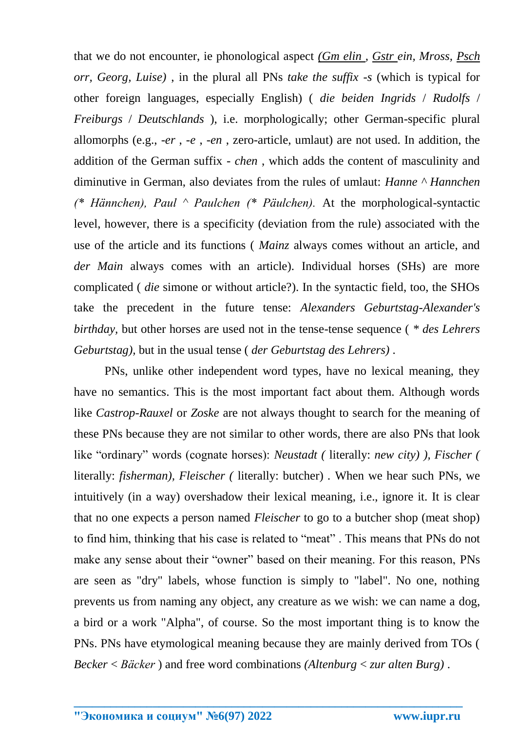that we do not encounter, ie phonological aspect *(Gm elin , Gstr ein, Mross, Psch orr, Georg, Luise)* , in the plural all PNs *take the suffix -s* (which is typical for other foreign languages, especially English) ( *die beiden Ingrids* / *Rudolfs* / *Freiburgs* / *Deutschlands* ), i.e. morphologically; other German-specific plural allomorphs (e.g., *-er* , *-e* , *-en* , zero-article, umlaut) are not used. In addition, the addition of the German suffix - *chen* , which adds the content of masculinity and diminutive in German, also deviates from the rules of umlaut: *Hanne ^ Hannchen (\* Hännchen), Paul ^ Paulchen (\* Päulchen).* At the morphological-syntactic level, however, there is a specificity (deviation from the rule) associated with the use of the article and its functions ( *Mainz* always comes without an article, and der Main always comes with an article). Individual horses (SHs) are more complicated ( *die* simone or without article?). In the syntactic field, too, the SHOs take the precedent in the future tense: *Alexanders Geburtstag-Alexander's birthday,* but other horses are used not in the tense-tense sequence ( *\* des Lehrers Geburtstag),* but in the usual tense ( *der Geburtstag des Lehrers)* .

PNs, unlike other independent word types, have no lexical meaning, they have no semantics. This is the most important fact about them. Although words like *Castrop-Rauxel* or *Zoske* are not always thought to search for the meaning of these PNs because they are not similar to other words, there are also PNs that look like "ordinary" words (cognate horses): *Neustadt (* literally: *new city) ), Fischer (*  literally: *fisherman), Fleischer (* literally: butcher) *.* When we hear such PNs, we intuitively (in a way) overshadow their lexical meaning, i.e., ignore it. It is clear that no one expects a person named *Fleischer* to go to a butcher shop (meat shop) to find him, thinking that his case is related to "meat" . This means that PNs do not make any sense about their "owner" based on their meaning. For this reason, PNs are seen as "dry" labels, whose function is simply to "label". No one, nothing prevents us from naming any object, any creature as we wish: we can name a dog, a bird or a work "Alpha", of course. So the most important thing is to know the PNs. PNs have etymological meaning because they are mainly derived from TOs ( *Becker* < *Bäcker* ) and free word combinations *(Altenburg* < *zur alten Burg)* .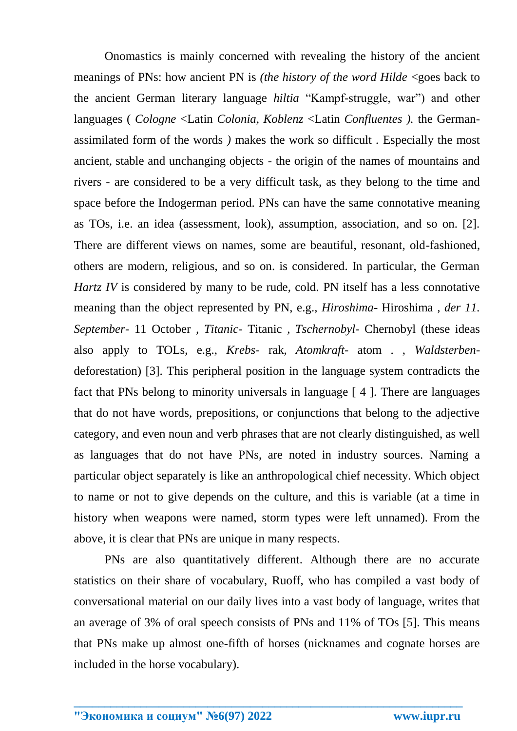Onomastics is mainly concerned with revealing the history of the ancient meanings of PNs: how ancient PN is *(the history of the word Hilde* <goes back to the ancient German literary language *hiltia* "Kampf-struggle, war") and other languages ( *Cologne* <Latin *Colonia, Koblenz* <Latin *Confluentes ).* the Germanassimilated form of the words *)* makes the work so difficult *.* Especially the most ancient, stable and unchanging objects - the origin of the names of mountains and rivers - are considered to be a very difficult task, as they belong to the time and space before the Indogerman period. PNs can have the same connotative meaning as TOs, i.e. an idea (assessment, look), assumption, association, and so on. [2]. There are different views on names, some are beautiful, resonant, old-fashioned, others are modern, religious, and so on. is considered. In particular, the German *Hartz IV* is considered by many to be rude, cold. PN itself has a less connotative meaning than the object represented by PN, e.g., *Hiroshima-* Hiroshima *, der 11. September-* 11 October *, Titanic-* Titanic *, Tschernobyl-* Chernobyl (these ideas also apply to TOLs, e.g., *Krebs-* rak, *Atomkraft-* atom . , *Waldsterben*deforestation) [3]. This peripheral position in the language system contradicts the fact that PNs belong to minority universals in language [ 4 ]. There are languages that do not have words, prepositions, or conjunctions that belong to the adjective category, and even noun and verb phrases that are not clearly distinguished, as well as languages that do not have PNs, are noted in industry sources. Naming a particular object separately is like an anthropological chief necessity. Which object to name or not to give depends on the culture, and this is variable (at a time in history when weapons were named, storm types were left unnamed). From the above, it is clear that PNs are unique in many respects.

PNs are also quantitatively different. Although there are no accurate statistics on their share of vocabulary, Ruoff, who has compiled a vast body of conversational material on our daily lives into a vast body of language, writes that an average of 3% of oral speech consists of PNs and 11% of TOs [5]. This means that PNs make up almost one-fifth of horses (nicknames and cognate horses are included in the horse vocabulary).